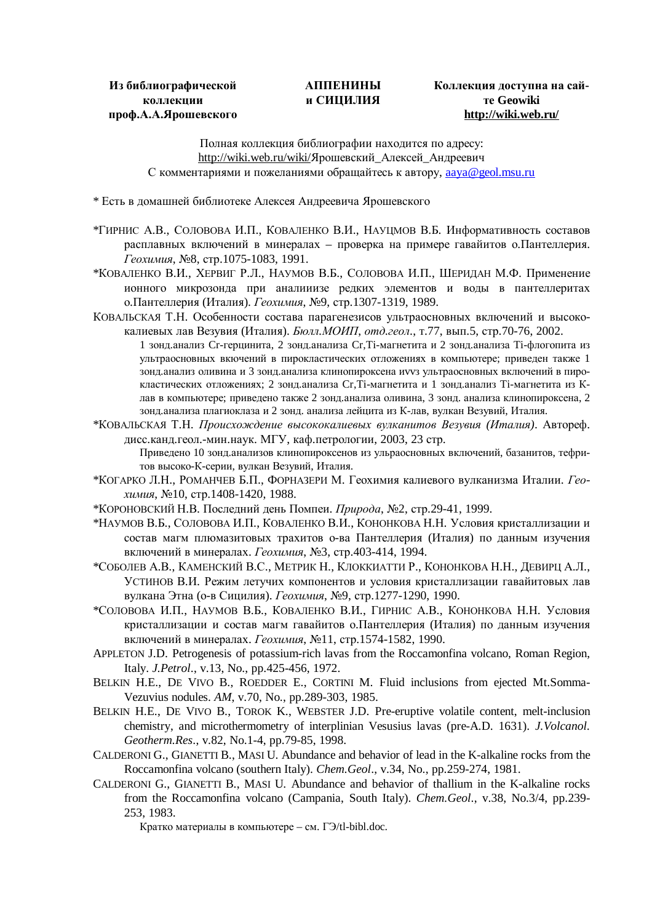## **АППЕНИНЫ и СИЦИЛИЯ**

## **Коллекция доступна на сайте Geowiki <http://wiki.web.ru/>**

Полная коллекция библиографии находится по адресу: <http://wiki.web.ru/wiki/>Ярошевский Алексей Андреевич С комментариями и пожеланиями обращайтесь к автору, [aaya@geol.msu.ru](mailto:aaya@geol.msu.ru)

\* Есть в домашней библиотеке Алексея Андреевича Ярошевского

- \*ГИРНИС А.В., СОЛОВОВА И.П., КОВАЛЕНКО В.И., НАУЦМОВ В.Б. Информативность составов расплавных включений в минералах – проверка на примере гавайитов о.Пантеллерия. *Геохимия*, №8, стр.1075-1083, 1991.
- \*КОВАЛЕНКО В.И., ХЕРВИГ Р.Л., НАУМОВ В.Б., СОЛОВОВА И.П., ШЕРИДАН М.Ф. Применение ионного микрозонда при аналииизе редких элементов и воды в пантеллеритах о.Пантеллерия (Италия). *Геохимия*, №9, стр.1307-1319, 1989.
- КОВАЛЬСКАЯ Т.Н. Особенности состава парагенезисов ультраосновных включений и высококалиевых лав Везувия (Италия). *Бюлл.МОИП*, *отд.геол*., т.77, вып.5, стр.70-76, 2002.
	- 1 зонд.анализ Cr-герцинита, 2 зонд.анализа Cr,Ti-магнетита и 2 зонд.анализа Ti-флогопита из ультраосновных вкючений в пирокластических отложениях в компьютере; приведен также 1 зонд.анализ оливина и 3 зонд.анализа клинопироксена иvvз ультраосновных включений в пирокластических отложениях; 2 зонд.анализа Cr,Ti-магнетита и 1 зонд.анализ Ti-магнетита из Клав в компьютере; приведено также 2 зонд.анализа оливина, 3 зонд. анализа клинопироксена, 2 зонд.анализа плагиоклаза и 2 зонд. анализа лейцита из К-лав, вулкан Везувий, Италия.
- \*КОВАЛЬСКАЯ Т.Н. *Происхождение высококалиевых вулканитов Везувия (Италия)*. Автореф. дисс.канд.геол.-мин.наук. МГУ, каф.петрологии, 2003, 23 стр. Приведено 10 зонд.анализов клинопироксенов из ульраосновных включений, базанитов, тефри
	- тов высоко-К-серии, вулкан Везувий, Италия.
- \*КОГАРКО Л.Н., РОМАНЧЕВ Б.П., ФОРНАЗЕРИ М. Геохимия калиевого вулканизма Италии. *Геохимия*, №10, стр.1408-1420, 1988.
- \*КОРОНОВСКИЙ Н.В. Последний день Помпеи. *Природа*, №2, стр.29-41, 1999.
- \*НАУМОВ В.Б., СОЛОВОВА И.П., КОВАЛЕНКО В.И., КОНОНКОВА Н.Н. Условия кристаллизации и состав магм плюмазитовых трахитов о-ва Пантеллерия (Италия) по данным изучения включений в минералах. *Геохимия*, №3, стр.403-414, 1994.
- \*СОБОЛЕВ А.В., КАМЕНСКИЙ В.С., МЕТРИК Н., КЛОККИАТТИ Р., КОНОНКОВА Н.Н., ДЕВИРЦ А.Л., УСТИНОВ В.И. Режим летучих компонентов и условия кристаллизации гавайитовых лав вулкана Этна (о-в Сицилия). *Геохимия*, №9, стр.1277-1290, 1990.
- \*СОЛОВОВА И.П., НАУМОВ В.Б., КОВАЛЕНКО В.И., ГИРНИС А.В., КОНОНКОВА Н.Н. Условия кристаллизации и состав магм гавайитов о.Пантеллерия (Италия) по данным изучения включений в минералах. *Геохимия*, №11, стр.1574-1582, 1990.
- APPLETON J.D. Petrogenesis of potassium-rich lavas from the Roccamonfina volcano, Roman Region, Italy. *J.Petrol*., v.13, No., pp.425-456, 1972.
- BELKIN H.E., DE VIVO B., ROEDDER E., CORTINI M. Fluid inclusions from ejected Mt.Somma-Vezuvius nodules. *AM*, v.70, No., pp.289-303, 1985.
- BELKIN H.E., DE VIVO B., TOROK K., WEBSTER J.D. Pre-eruptive volatile content, melt-inclusion chemistry, and microthermometry of interplinian Vesusius lavas (pre-A.D. 1631). *J.Volcanol. Geotherm.Res*., v.82, No.1-4, pp.79-85, 1998.
- CALDERONI G., GIANETTI B., MASI U. Abundance and behavior of lead in the K-alkaline rocks from the Roccamonfina volcano (southern Italy). *Chem.Geol*., v.34, No., pp.259-274, 1981.
- CALDERONI G., GIANETTI B., MASI U. Abundance and behavior of thallium in the K-alkaline rocks from the Roccamonfina volcano (Campania, South Italy). *Chem.Geol*., v.38, No.3/4, pp.239- 253, 1983.

Кратко материалы в компьютере – см. ГЭ/tl-bibl.doc.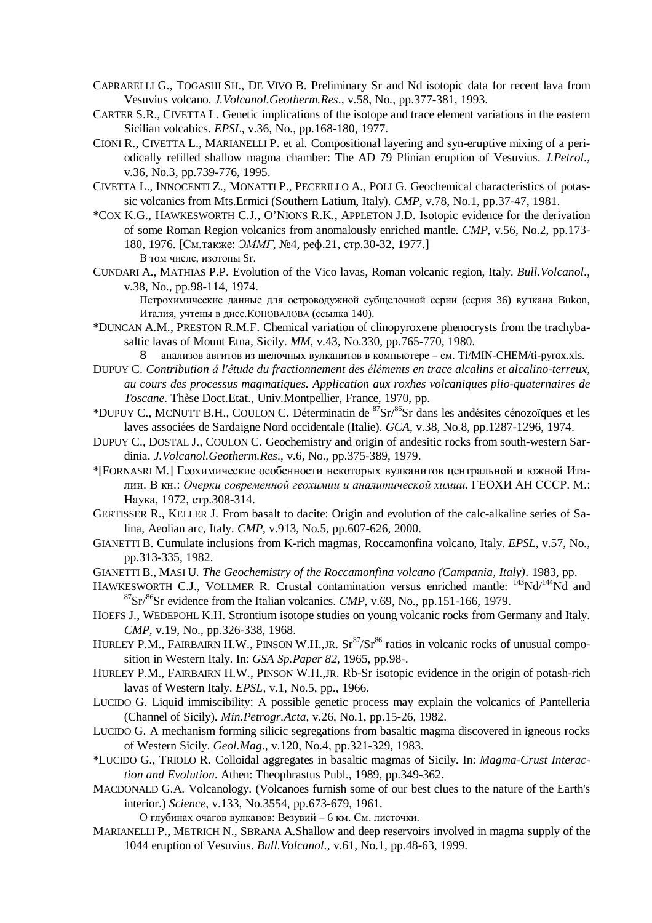- CAPRARELLI G., TOGASHI SH., DE VIVO B. Preliminary Sr and Nd isotopic data for recent lava from Vesuvius volcano. *J.Volcanol.Geotherm.Res*., v.58, No., pp.377-381, 1993.
- CARTER S.R., CIVETTA L. Genetic implications of the isotope and trace element variations in the eastern Sicilian volcabics. *EPSL*, v.36, No., pp.168-180, 1977.
- CIONI R., CIVETTA L., MARIANELLI P. et al. Compositional layering and syn-eruptive mixing of a periodically refilled shallow magma chamber: The AD 79 Plinian eruption of Vesuvius. *J.Petrol*., v.36, No.3, pp.739-776, 1995.
- CIVETTA L., INNOCENTI Z., MONATTI P., PECERILLO A., POLI G. Geochemical characteristics of potassic volcanics from Mts.Ermici (Southern Latium, Italy). *CMP*, v.78, No.1, pp.37-47, 1981.
- \*COX K.G., HAWKESWORTH C.J., O'NIONS R.K., APPLETON J.D. Isotopic evidence for the derivation of some Roman Region volcanics from anomalously enriched mantle. *CMP*, v.56, No.2, pp.173- 180, 1976. [См.также: *ЭММГ*, №4, реф.21, стр.30-32, 1977.] В том числе, изотопы Sr.
- CUNDARI A., MATHIAS P.P. Evolution of the Vico lavas, Roman volcanic region, Italy. *Bull.Volcanol*., v.38, No., pp.98-114, 1974.

Петрохимические данные для островодужной субщелочной серии (серия 36) вулкана Bukon, Италия, учтены в дисс.КОНОВАЛОВА (ссылка 140).

\*DUNCAN A.M., PRESTON R.M.F. Chemical variation of clinopyroxene phenocrysts from the trachybasaltic lavas of Mount Etna, Sicily. *MM*, v.43, No.330, pp.765-770, 1980.

8 анализов авгитов из щелочных вулканитов в компьютере – см. Ti/MIN-CHEM/ti-pyrox.xls.

- DUPUY C. *Contribution á l'étude du fractionnement des éléments en trace alcalins et alcalino-terreux, au cours des processus magmatiques. Application aux roxhes volcaniques plio-quaternaires de Toscane*. Thèse Doct.Etat., Univ.Montpellier, France, 1970, pp.
- \*DUPUY C., MCNUTT B.H., COULON C. Déterminatin de <sup>87</sup>Sr/<sup>86</sup>Sr dans les andésites cénozoїques et les laves associées de Sardaigne Nord occidentale (Italie). *GCA*, v.38, No.8, pp.1287-1296, 1974.
- DUPUY C., DOSTAL J., COULON C. Geochemistry and origin of andesitic rocks from south-western Sardinia. *J.Volcanol.Geotherm.Res*., v.6, No., pp.375-389, 1979.
- \*[FORNASRI M.] Геохимические особенности некоторых вулканитов центральной и южной Италии. В кн.: *Очерки современной геохимии и аналитической химии*. ГЕОХИ АН СССР. М.: Наука, 1972, стр.308-314.
- GERTISSER R., KELLER J. From basalt to dacite: Origin and evolution of the calc-alkaline series of Salina, Aeolian arc, Italy. *CMP*, v.913, No.5, pp.607-626, 2000.
- GIANETTI B. Cumulate inclusions from K-rich magmas, Roccamonfina volcano, Italy. *EPSL*, v.57, No., pp.313-335, 1982.
- GIANETTI B., MASI U. *The Geochemistry of the Roccamonfina volcano (Campania, Italy)*. 1983, pp.
- HAWKESWORTH C.J., VOLLMER R. Crustal contamination versus enriched mantle:  $^{143}Nd^{144}Nd$  and <sup>87</sup>Sr/<sup>86</sup>Sr evidence from the Italian volcanics. *CMP*, v.69, No., pp.151-166, 1979.
- HOEFS J., WEDEPOHL K.H. Strontium isotope studies on young volcanic rocks from Germany and Italy. *CMP*, v.19, No., pp.326-338, 1968.
- HURLEY P.M., FAIRBAIRN H.W., PINSON W.H.,JR.  $Sr^{87}/Sr^{86}$  ratios in volcanic rocks of unusual composition in Western Italy. In: *GSA Sp.Paper 82*, 1965, pp.98-.
- HURLEY P.M., FAIRBAIRN H.W., PINSON W.H.,JR. Rb-Sr isotopic evidence in the origin of potash-rich lavas of Western Italy. *EPSL*, v.1, No.5, pp., 1966.
- LUCIDO G. Liquid immiscibility: A possible genetic process may explain the volcanics of Pantelleria (Channel of Sicily). *Min.Petrogr.Acta*, v.26, No.1, pp.15-26, 1982.
- LUCIDO G. A mechanism forming silicic segregations from basaltic magma discovered in igneous rocks of Western Sicily. *Geol.Mag*., v.120, No.4, pp.321-329, 1983.
- \*LUCIDO G., TRIOLO R. Colloidal aggregates in basaltic magmas of Sicily. In: *Magma-Crust Interaction and Evolution*. Athen: Theophrastus Publ., 1989, pp.349-362.
- MACDONALD G.A. Volcanology. (Volcanoes furnish some of our best clues to the nature of the Earth's interior.) *Science*, v.133, No.3554, pp.673-679, 1961.
	- О глубинах очагов вулканов: Везувий 6 км. См. листочки.
- MARIANELLI P., METRICH N., SBRANA A.Shallow and deep reservoirs involved in magma supply of the 1044 eruption of Vesuvius. *Bull.Volcanol*., v.61, No.1, pp.48-63, 1999.